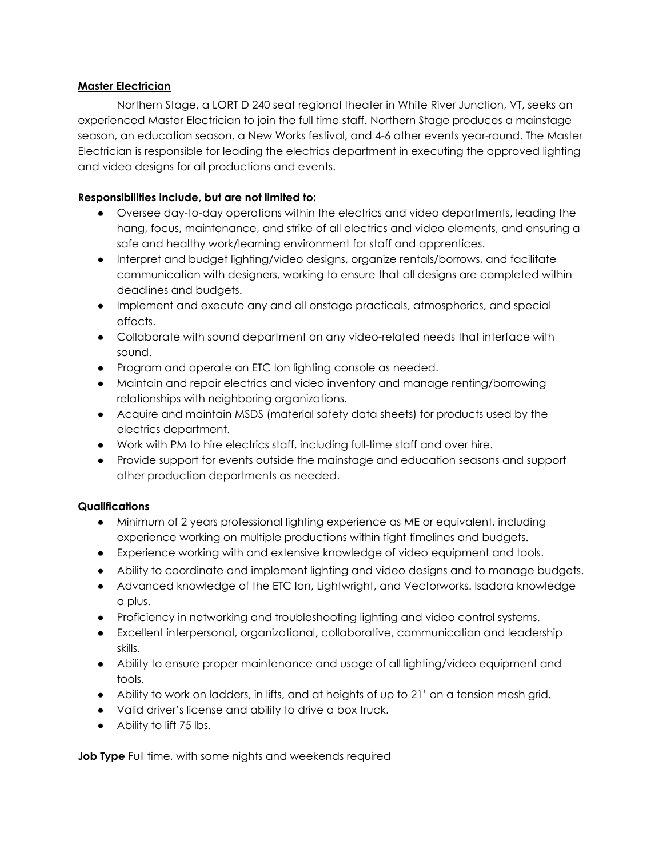## **Master Electrician**

Northern Stage, a LORT D 240 seat regional theater in White River Junction, VT, seeks an experienced Master Electrician to join the full time staff. Northern Stage produces a mainstage season, an education season, a New Works festival, and 4-6 other events year-round. The Master Electrician is responsible for leading the electrics department in executing the approved lighting and video designs for all productions and events.

## **Responsibilities include, but are not limited to:**

- Oversee day-to-day operations within the electrics and video departments, leading the hang, focus, maintenance, and strike of all electrics and video elements, and ensuring a safe and healthy work/learning environment for staff and apprentices.
- Interpret and budget lighting/video designs, organize rentals/borrows, and facilitate communication with designers, working to ensure that all designs are completed within deadlines and budgets.
- Implement and execute any and all onstage practicals, atmospherics, and special effects.
- Collaborate with sound department on any video-related needs that interface with sound.
- Program and operate an ETC Ion lighting console as needed.
- Maintain and repair electrics and video inventory and manage renting/borrowing relationships with neighboring organizations.
- Acquire and maintain MSDS (material safety data sheets) for products used by the electrics department.
- **●** Work with PM to hire electrics staff, including full-time staff and over hire.
- Provide support for events outside the mainstage and education seasons and support other production departments as needed.

## **Qualifications**

- Minimum of 2 years professional lighting experience as ME or equivalent, including experience working on multiple productions within tight timelines and budgets.
- Experience working with and extensive knowledge of video equipment and tools.
- Ability to coordinate and implement lighting and video designs and to manage budgets.
- Advanced knowledge of the ETC Ion, Lightwright, and Vectorworks. Isadora knowledge a plus.
- Proficiency in networking and troubleshooting lighting and video control systems.
- Excellent interpersonal, organizational, collaborative, communication and leadership skills.
- Ability to ensure proper maintenance and usage of all lighting/video equipment and tools.
- Ability to work on ladders, in lifts, and at heights of up to 21' on a tension mesh grid.
- Valid driver's license and ability to drive a box truck.
- Ability to lift 75 lbs.

**Job Type** Full time, with some nights and weekends required